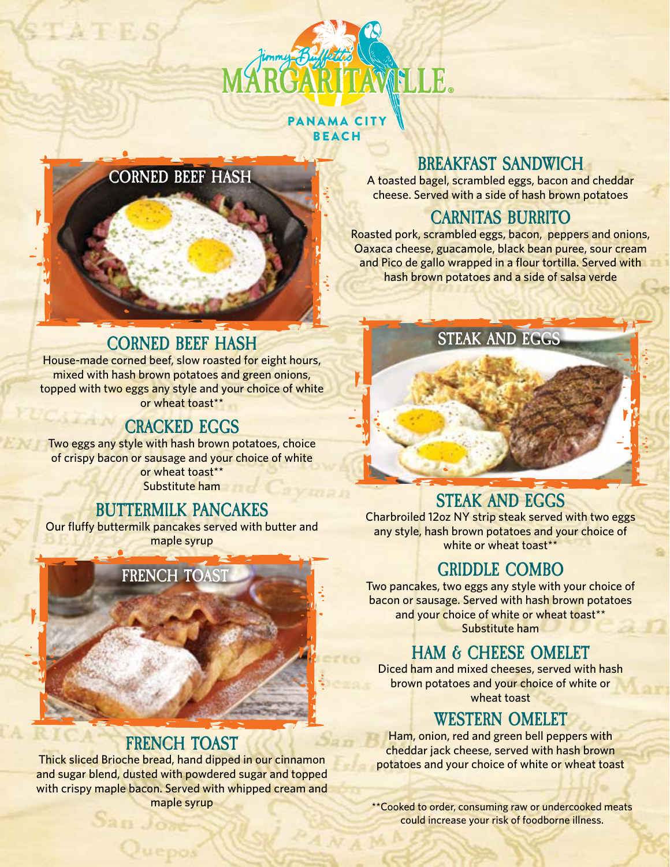

#### PANAMA CITY BEACH



#### **BREAKFAST SANDWICH**

A toasted bagel, scrambled eggs, bacon and cheddar cheese. Served with a side of hash brown potatoes

### **CARNITAS BURRITO**

Roasted pork, scrambled eggs, bacon, peppers and onions, Oaxaca cheese, guacamole, black bean puree, sour cream and Pico de gallo wrapped in a flour tortilla. Served with hash brown potatoes and a side of salsa verde

# **CORNED BEEF HASH STEAK AND EGGS**

House-made corned beef, slow roasted for eight hours, mixed with hash brown potatoes and green onions, topped with two eggs any style and your choice of white or wheat toast\*\*

### **CRACKED EGGS**

Two eggs any style with hash brown potatoes, choice of crispy bacon or sausage and your choice of white or wheat toast\*\* Substitute ham

#### **BUTTERMILK PANCAKES**

Our fluffy buttermilk pancakes served with butter and maple syrup



## **FRENCH TOAST**

Thick sliced Brioche bread, hand dipped in our cinnamon and sugar blend, dusted with powdered sugar and topped with crispy maple bacon. Served with whipped cream and maple syrup

San Jon

Juep

### **STEAK AND EGGS**

Charbroiled 12oz NY strip steak served with two eggs any style, hash brown potatoes and your choice of white or wheat toast\*\*

### **GRIDDLE COMBO**

Two pancakes, two eggs any style with your choice of bacon or sausage. Served with hash brown potatoes and your choice of white or wheat toast\*\* Substitute ham

## **HAM & CHEESE OMELET**

Diced ham and mixed cheeses, served with hash brown potatoes and your choice of white or wheat toast

#### **WESTERN OMELET**

Ham, onion, red and green bell peppers with cheddar jack cheese, served with hash brown potatoes and your choice of white or wheat toast

\*\*Cooked to order, consuming raw or undercooked meats could increase your risk of foodborne illness.